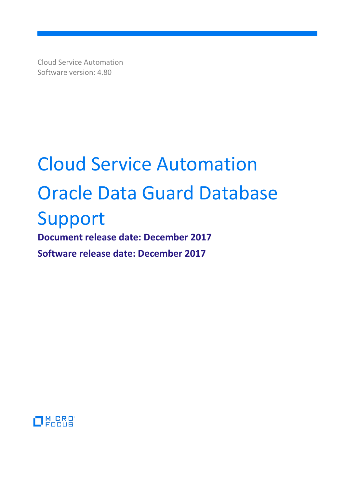Cloud Service Automation Software version: 4.80

# Cloud Service Automation Oracle Data Guard Database Support

**Document release date: December 2017 Software release date: December 2017**

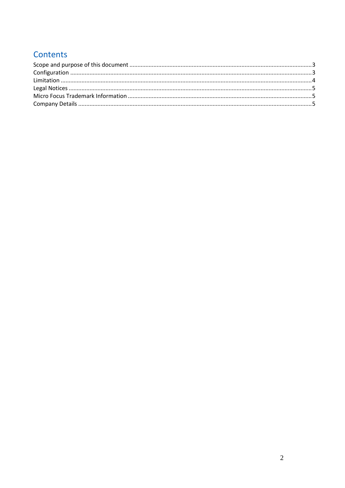# Contents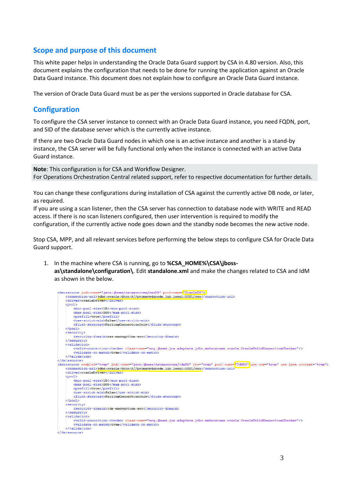#### <span id="page-2-0"></span>**Scope and purpose of this document**

This white paper helps in understanding the Oracle Data Guard support by CSA in 4.80 version. Also, this document explains the configuration that needs to be done for running the application against an Oracle Data Guard instance. This document does not explain how to configure an Oracle Data Guard instance.

<span id="page-2-1"></span>The version of Oracle Data Guard must be as per the versions supported in Oracle database for CSA.

#### **Configuration**

To configure the CSA server instance to connect with an Oracle Data Guard instance, you need FQDN, port, and SID of the database server which is the currently active instance.

If there are two Oracle Data Guard nodes in which one is an active instance and another is a stand-by instance, the CSA server will be fully functional only when the instance is connected with an active Data Guard instance.

**Note**: This configuration is for CSA and Workflow Designer. For Operations Orchestration Central related support, refer to respective documentation for further details.

You can change these configurations during installation of CSA against the currently active DB node, or later, as required.

If you are using a scan listener, then the CSA server has connection to database node with WRITE and READ access. If there is no scan listeners configured, then user intervention is required to modify the configuration, if the currently active node goes down and the standby node becomes the new active node.

Stop CSA, MPP, and all relevant services before performing the below steps to configure CSA for Oracle Data Guard support.

1. In the machine where CSA is running, go to **%CSA\_HOME%\CSA\jbossas\standalone\configuration\**. Edit **standalone.xml** and make the changes related to CSA and IdM as shown in the below.

```
jndi-name="java:jboss/datasources/csaDS" pool-name="0
    <connection-url>idbc:oracle:thin:@//primarydgnode.lab.local:1521/csa</connection-url>
    <driver>oracleDriver</driver>
    <pool>
       \text{min-pool} - \text{size} \ge 10\frac{\text{min-pool}}{\text{min-pool}} - \text{size}<max-pool-size>200</max-pool-size>
        <prefill>true</prefill>
        <flush-strategy>FailingConnectionOnly</flush-strategy>
    </pool>
   <security>
        <security-domain>csa-encryption-sec</security-domain>
    \langle/security>
    <validation>
       <valid-connection-checker class-name="org.jboss.jca.adapters.jdbc.extensions.oracle.OracleValidConnectionChecker"/>
       <validate-on-match>true</validate-on-match>
    </validation>
</datasource>
.<br><datasource enabled="true" jndi-name="java:jboss/datasources/idmDS" jta="true" pool-name=<mark>"idMDS"</mark> use-com="true" use-java-context="true">
    <connection-url>jdbc:oracle:thin:@//primarydgnode.lab.local:1521/csa</connection-url>
    <driver>oracleDriver</driver>
    <sub>pool</sub></sub>
        <min-pool-size>10</min-pool-size
        <max-pool-size>200</max-pool-size>
        <prefill>true</prefill>
        \verb|<float-strategy>ildegroup;\newline</math>\langle / \text{pool} \rangle<security>
       <security-domain>idm-encryption-sec</security-domain>
    </security>
    <validation>
       <valid-connection-checker class-name="org.iboss.ica.adapters.idbc.extensions.oracle.OracleValidConnectionChecker"/>
        <validate-on-match>true</validate-on-match
    \langle/validation>
</datasource
```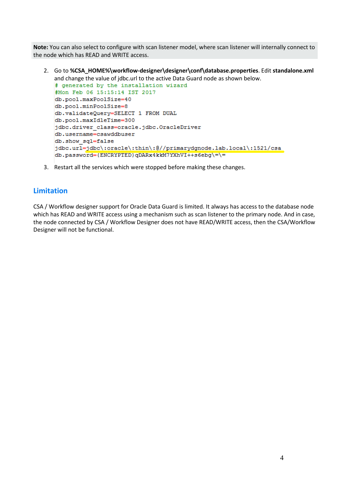**Note:** You can also select to configure with scan listener model, where scan listener will internally connect to the node which has READ and WRITE access.

2. Go to **%CSA\_HOME%\workflow-designer\designer\conf\database.properties**. Edit **standalone.xml**  and change the value of jdbc.url to the active Data Guard node as shown below.<br> $\frac{1}{4}$  generated by the installation wizard

```
#Mon Feb 06 15:15:14 IST 2017
db.pool.maxPoolSize=40
db.pool.minPoolSize=8
db.validateQuery=SELECT 1 FROM DUAL
db.pool.maxIdleTime=300
jdbc.driver class=oracle.jdbc.OracleDriver
db.username=csawddbuser
db.show sql=false
jdbc.url=jdbc\:oracle\:thin\:@//primarydgnode.lab.local\:1521/csa
db.password={ENCRYPTED}qDARx4kkM7YXhVI++s6ebg\=\=
```
3. Restart all the services which were stopped before making these changes.

## <span id="page-3-0"></span>**Limitation**

CSA / Workflow designer support for Oracle Data Guard is limited. It always has access to the database node which has READ and WRITE access using a mechanism such as scan listener to the primary node. And in case, the node connected by CSA / Workflow Designer does not have READ/WRITE access, then the CSA/Workflow Designer will not be functional.